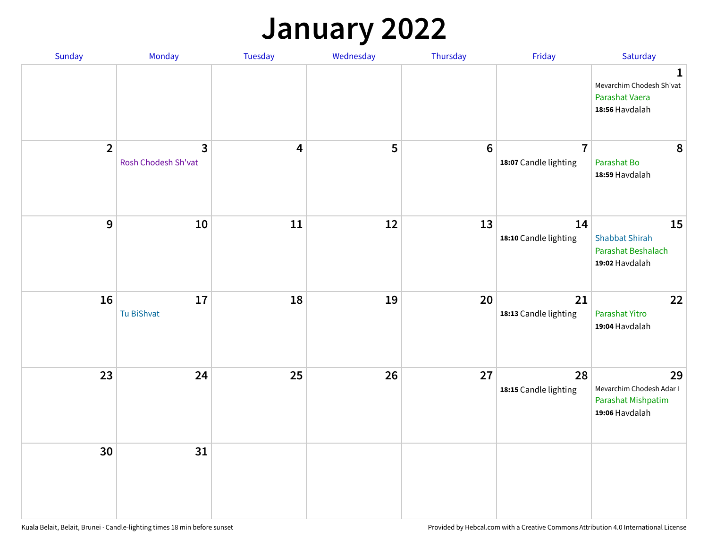### **January 2022**

| Sunday         | Monday                   | Tuesday                 | Wednesday | Thursday         | Friday                                  | Saturday                                                                     |
|----------------|--------------------------|-------------------------|-----------|------------------|-----------------------------------------|------------------------------------------------------------------------------|
|                |                          |                         |           |                  |                                         | $\mathbf{1}$<br>Mevarchim Chodesh Sh'vat<br>Parashat Vaera<br>18:56 Havdalah |
| $\overline{2}$ | 3<br>Rosh Chodesh Sh'vat | $\overline{\mathbf{4}}$ | 5         | $\boldsymbol{6}$ | $\overline{7}$<br>18:07 Candle lighting | 8<br>Parashat Bo<br>18:59 Havdalah                                           |
| $\mathbf{9}$   | 10                       | ${\bf 11}$              | 12        | 13               | 14<br>18:10 Candle lighting             | 15<br><b>Shabbat Shirah</b><br>Parashat Beshalach<br>19:02 Havdalah          |
| 16             | 17<br>Tu BiShvat         | 18                      | 19        | 20               | 21<br>18:13 Candle lighting             | 22<br>Parashat Yitro<br>19:04 Havdalah                                       |
| 23             | 24                       | 25                      | 26        | 27               | 28<br>18:15 Candle lighting             | 29<br>Mevarchim Chodesh Adar I<br>Parashat Mishpatim<br>19:06 Havdalah       |
| 30             | 31                       |                         |           |                  |                                         |                                                                              |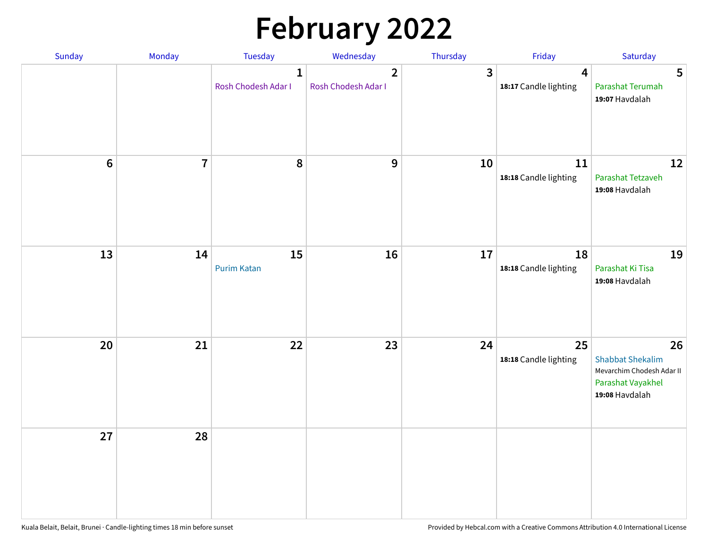# **February 2022**

| Sunday | Monday         | <b>Tuesday</b>                      | Wednesday                             | Thursday | Friday                                           | Saturday                                                                                          |
|--------|----------------|-------------------------------------|---------------------------------------|----------|--------------------------------------------------|---------------------------------------------------------------------------------------------------|
|        |                | $\mathbf{1}$<br>Rosh Chodesh Adar I | $\overline{2}$<br>Rosh Chodesh Adar I | 3        | $\overline{\mathbf{4}}$<br>18:17 Candle lighting | 5<br>Parashat Terumah<br>19:07 Havdalah                                                           |
| $6\,$  | $\overline{7}$ | 8                                   | 9                                     | 10       | 11<br>18:18 Candle lighting                      | 12<br>Parashat Tetzaveh<br>19:08 Havdalah                                                         |
| 13     | 14             | 15<br><b>Purim Katan</b>            | 16                                    | 17       | 18<br>18:18 Candle lighting                      | 19<br>Parashat Ki Tisa<br>19:08 Havdalah                                                          |
| 20     | 21             | 22                                  | 23                                    | 24       | 25<br>18:18 Candle lighting                      | 26<br><b>Shabbat Shekalim</b><br>Mevarchim Chodesh Adar II<br>Parashat Vayakhel<br>19:08 Havdalah |
| 27     | 28             |                                     |                                       |          |                                                  |                                                                                                   |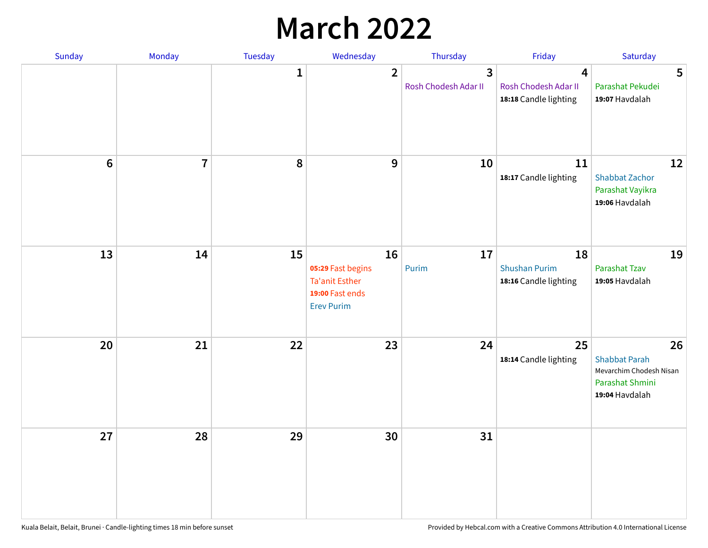## **March 2022**

| Sunday         | Monday         | <b>Tuesday</b> | Wednesday                                                                                | Thursday                  | Friday                                                                   | Saturday                                                                                   |
|----------------|----------------|----------------|------------------------------------------------------------------------------------------|---------------------------|--------------------------------------------------------------------------|--------------------------------------------------------------------------------------------|
|                |                | $\mathbf{1}$   | $\overline{2}$                                                                           | 3<br>Rosh Chodesh Adar II | $\overline{\mathbf{4}}$<br>Rosh Chodesh Adar II<br>18:18 Candle lighting | 5<br>Parashat Pekudei<br>19:07 Havdalah                                                    |
| $6\phantom{1}$ | $\overline{7}$ | 8              | $\mathbf 9$                                                                              | 10                        | 11<br>18:17 Candle lighting                                              | 12<br><b>Shabbat Zachor</b><br>Parashat Vayikra<br>19:06 Havdalah                          |
| 13             | 14             | 15             | 16<br>05:29 Fast begins<br><b>Ta'anit Esther</b><br>19:00 Fast ends<br><b>Erev Purim</b> | 17<br>Purim               | 18<br><b>Shushan Purim</b><br>18:16 Candle lighting                      | 19<br>Parashat Tzav<br>19:05 Havdalah                                                      |
| 20             | 21             | 22             | 23                                                                                       | 24                        | 25<br>18:14 Candle lighting                                              | 26<br><b>Shabbat Parah</b><br>Mevarchim Chodesh Nisan<br>Parashat Shmini<br>19:04 Havdalah |
| 27             | 28             | 29             | 30                                                                                       | 31                        |                                                                          |                                                                                            |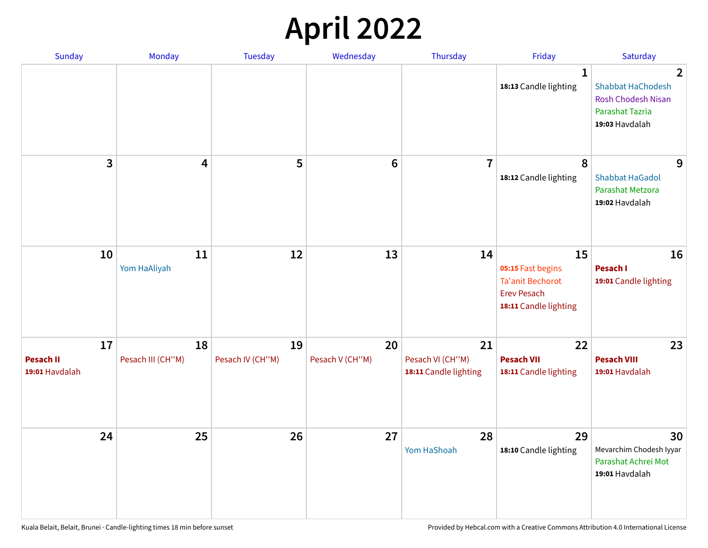## **April 2022**

| Sunday                                   | Monday                  | <b>Tuesday</b>         | Wednesday             | Thursday                                        | Friday                                                                                            | Saturday                                                                                                            |
|------------------------------------------|-------------------------|------------------------|-----------------------|-------------------------------------------------|---------------------------------------------------------------------------------------------------|---------------------------------------------------------------------------------------------------------------------|
|                                          |                         |                        |                       |                                                 | 1<br>18:13 Candle lighting                                                                        | $\overline{2}$<br><b>Shabbat HaChodesh</b><br><b>Rosh Chodesh Nisan</b><br><b>Parashat Tazria</b><br>19:03 Havdalah |
| 3                                        | $\overline{\mathbf{4}}$ | 5                      | $6\phantom{1}6$       | $\overline{7}$                                  | 8<br>18:12 Candle lighting                                                                        | 9<br><b>Shabbat HaGadol</b><br>Parashat Metzora<br>19:02 Havdalah                                                   |
| 10                                       | 11<br>Yom HaAliyah      | 12                     | 13                    | 14                                              | 15<br>05:15 Fast begins<br><b>Ta'anit Bechorot</b><br><b>Erev Pesach</b><br>18:11 Candle lighting | 16<br><b>Pesach I</b><br>19:01 Candle lighting                                                                      |
| 17<br><b>Pesach II</b><br>19:01 Havdalah | 18<br>Pesach III (CH"M) | 19<br>Pesach IV (CH"M) | 20<br>Pesach V (CH"M) | 21<br>Pesach VI (CH"M)<br>18:11 Candle lighting | 22<br><b>Pesach VII</b><br>18:11 Candle lighting                                                  | 23<br><b>Pesach VIII</b><br>19:01 Havdalah                                                                          |
| 24                                       | 25                      | 26                     | 27                    | 28<br>Yom HaShoah                               | 29<br>18:10 Candle lighting                                                                       | 30<br>Mevarchim Chodesh Iyyar<br>Parashat Achrei Mot<br>19:01 Havdalah                                              |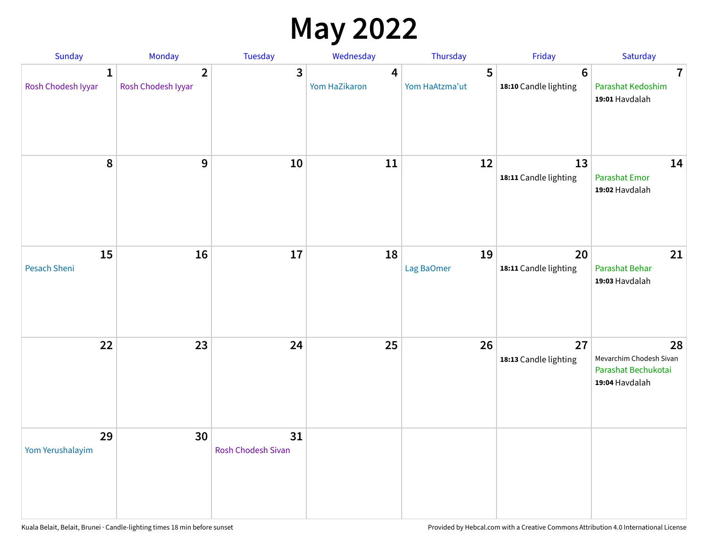## **May 2022**

| Sunday                             | Monday                               | Tuesday                         | Wednesday          | Thursday            | Friday                                   | Saturday                                                               |
|------------------------------------|--------------------------------------|---------------------------------|--------------------|---------------------|------------------------------------------|------------------------------------------------------------------------|
| $\mathbf{1}$<br>Rosh Chodesh Iyyar | $\overline{2}$<br>Rosh Chodesh Iyyar | 3                               | 4<br>Yom HaZikaron | 5<br>Yom HaAtzma'ut | $6\phantom{1}6$<br>18:10 Candle lighting | $\overline{7}$<br>Parashat Kedoshim<br>19:01 Havdalah                  |
| $\pmb{8}$                          | $\mathbf{9}$                         | 10                              | 11                 | 12                  | 13<br>18:11 Candle lighting              | 14<br><b>Parashat Emor</b><br>19:02 Havdalah                           |
| 15<br>Pesach Sheni                 | 16                                   | 17                              | 18                 | 19<br>Lag BaOmer    | 20<br>18:11 Candle lighting              | 21<br>Parashat Behar<br>19:03 Havdalah                                 |
| 22                                 | 23                                   | 24                              | 25                 | 26                  | 27<br>18:13 Candle lighting              | 28<br>Mevarchim Chodesh Sivan<br>Parashat Bechukotai<br>19:04 Havdalah |
| 29<br>Yom Yerushalayim             | 30                                   | 31<br><b>Rosh Chodesh Sivan</b> |                    |                     |                                          |                                                                        |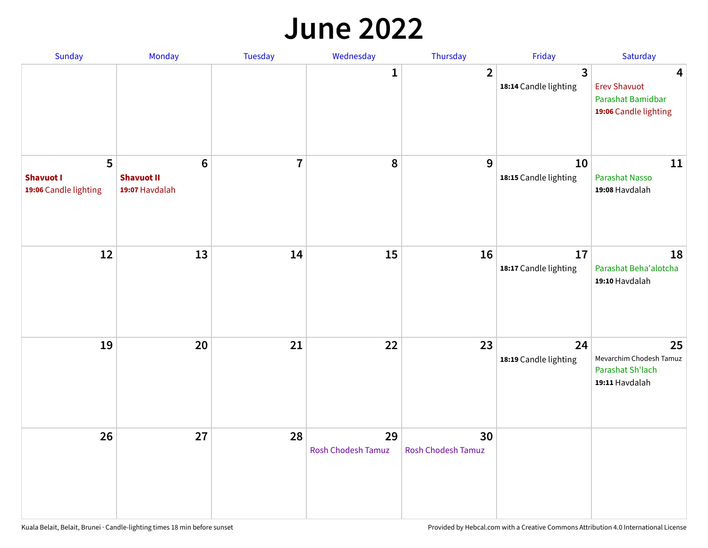#### **June 2022**

| Sunday                                         | Monday                                         | Tuesday        | Wednesday                       | Thursday                 | Friday                      | Saturday                                                                                     |
|------------------------------------------------|------------------------------------------------|----------------|---------------------------------|--------------------------|-----------------------------|----------------------------------------------------------------------------------------------|
|                                                |                                                |                | 1                               | $\overline{2}$           | 3<br>18:14 Candle lighting  | $\overline{\mathbf{4}}$<br><b>Erev Shavuot</b><br>Parashat Bamidbar<br>19:06 Candle lighting |
| 5<br><b>Shavuot I</b><br>19:06 Candle lighting | $\bf 6$<br><b>Shavuot II</b><br>19:07 Havdalah | $\overline{7}$ | 8                               | 9                        | 10<br>18:15 Candle lighting | 11<br>Parashat Nasso<br>19:08 Havdalah                                                       |
| 12                                             | 13                                             | 14             | 15                              | 16                       | 17<br>18:17 Candle lighting | 18<br>Parashat Beha'alotcha<br>19:10 Havdalah                                                |
| 19                                             | 20                                             | 21             | 22                              | 23                       | 24<br>18:19 Candle lighting | 25<br>Mevarchim Chodesh Tamuz<br>Parashat Sh'lach<br>19:11 Havdalah                          |
| 26                                             | 27                                             | 28             | 29<br><b>Rosh Chodesh Tamuz</b> | 30<br>Rosh Chodesh Tamuz |                             |                                                                                              |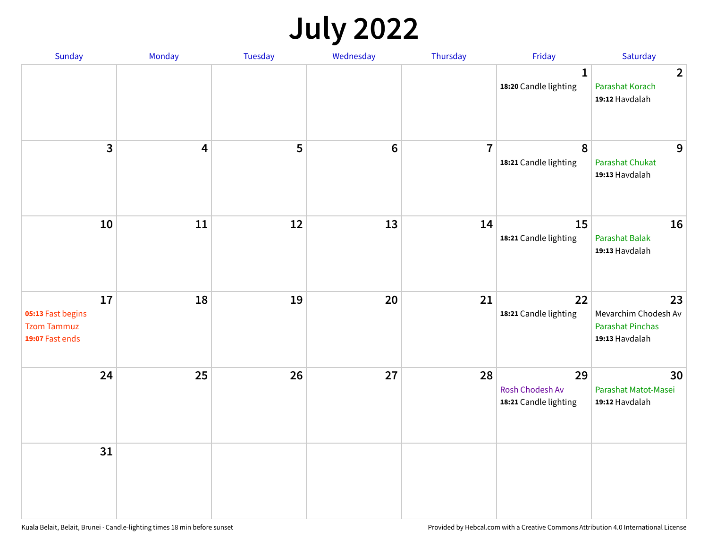## **July 2022**

| Sunday                                                           | Monday | Tuesday | Wednesday | Thursday       | Friday                                         | Saturday                                                                |
|------------------------------------------------------------------|--------|---------|-----------|----------------|------------------------------------------------|-------------------------------------------------------------------------|
|                                                                  |        |         |           |                | $\mathbf{1}$<br>18:20 Candle lighting          | $\overline{2}$<br>Parashat Korach<br>19:12 Havdalah                     |
| $\mathbf{3}$                                                     | 4      | 5       | $\bf 6$   | $\overline{7}$ | $\boldsymbol{8}$<br>18:21 Candle lighting      | 9<br><b>Parashat Chukat</b><br>19:13 Havdalah                           |
| 10                                                               | 11     | 12      | 13        | 14             | 15<br>18:21 Candle lighting                    | 16<br>Parashat Balak<br>19:13 Havdalah                                  |
| 17<br>05:13 Fast begins<br><b>Tzom Tammuz</b><br>19:07 Fast ends | 18     | 19      | 20        | 21             | 22<br>18:21 Candle lighting                    | 23<br>Mevarchim Chodesh Av<br><b>Parashat Pinchas</b><br>19:13 Havdalah |
| 24                                                               | 25     | 26      | 27        | 28             | 29<br>Rosh Chodesh Av<br>18:21 Candle lighting | 30<br>Parashat Matot-Masei<br>19:12 Havdalah                            |
| 31                                                               |        |         |           |                |                                                |                                                                         |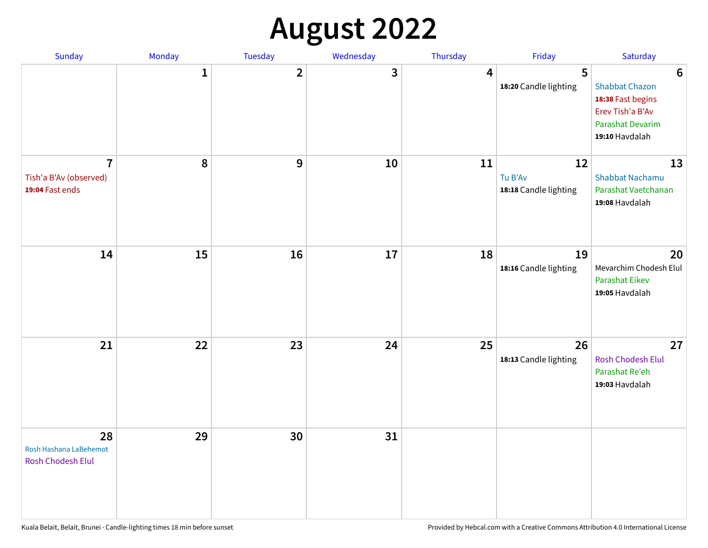## **August 2022**

| Sunday                                                      | Monday       | Tuesday                 | Wednesday | Thursday | Friday                                 | Saturday                                                                                                                       |
|-------------------------------------------------------------|--------------|-------------------------|-----------|----------|----------------------------------------|--------------------------------------------------------------------------------------------------------------------------------|
|                                                             | $\mathbf{1}$ | $\overline{\mathbf{2}}$ | 3         | 4        | 5<br>18:20 Candle lighting             | $6\phantom{1}6$<br><b>Shabbat Chazon</b><br>18:38 Fast begins<br>Erev Tish'a B'Av<br><b>Parashat Devarim</b><br>19:10 Havdalah |
| $\overline{7}$<br>Tish'a B'Av (observed)<br>19:04 Fast ends | 8            | 9                       | 10        | 11       | 12<br>Tu B'Av<br>18:18 Candle lighting | 13<br><b>Shabbat Nachamu</b><br>Parashat Vaetchanan<br>19:08 Havdalah                                                          |
| 14                                                          | 15           | 16                      | 17        | 18       | 19<br>18:16 Candle lighting            | 20<br>Mevarchim Chodesh Elul<br><b>Parashat Eikev</b><br>19:05 Havdalah                                                        |
| 21                                                          | 22           | 23                      | 24        | 25       | 26<br>18:13 Candle lighting            | 27<br><b>Rosh Chodesh Elul</b><br>Parashat Re'eh<br>19:03 Havdalah                                                             |
| 28<br>Rosh Hashana LaBehemot<br><b>Rosh Chodesh Elul</b>    | 29           | 30                      | 31        |          |                                        |                                                                                                                                |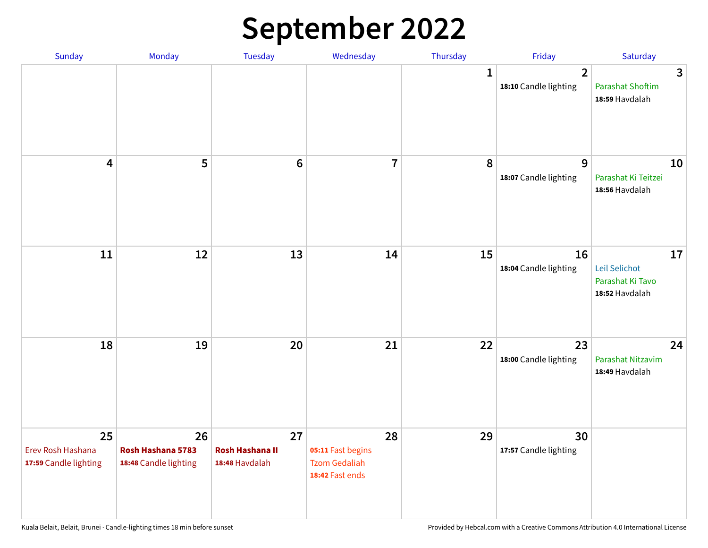## **September 2022**

| Sunday                                           | Monday                                           | Tuesday                                        | Wednesday                                                          | Thursday     | Friday                                  | Saturday                                                  |
|--------------------------------------------------|--------------------------------------------------|------------------------------------------------|--------------------------------------------------------------------|--------------|-----------------------------------------|-----------------------------------------------------------|
|                                                  |                                                  |                                                |                                                                    | $\mathbf{1}$ | $\overline{2}$<br>18:10 Candle lighting | 3<br><b>Parashat Shoftim</b><br>18:59 Havdalah            |
| $\overline{\mathbf{4}}$                          | 5                                                | $6\phantom{1}6$                                | $\overline{7}$                                                     | 8            | 9<br>18:07 Candle lighting              | 10<br>Parashat Ki Teitzei<br>18:56 Havdalah               |
| $11\,$                                           | 12                                               | 13                                             | 14                                                                 | 15           | 16<br>18:04 Candle lighting             | 17<br>Leil Selichot<br>Parashat Ki Tavo<br>18:52 Havdalah |
| 18                                               | 19                                               | 20                                             | 21                                                                 | 22           | 23<br>18:00 Candle lighting             | 24<br>Parashat Nitzavim<br>18:49 Havdalah                 |
| 25<br>Erev Rosh Hashana<br>17:59 Candle lighting | 26<br>Rosh Hashana 5783<br>18:48 Candle lighting | 27<br><b>Rosh Hashana II</b><br>18:48 Havdalah | 28<br>05:11 Fast begins<br><b>Tzom Gedaliah</b><br>18:42 Fast ends | 29           | 30<br>17:57 Candle lighting             |                                                           |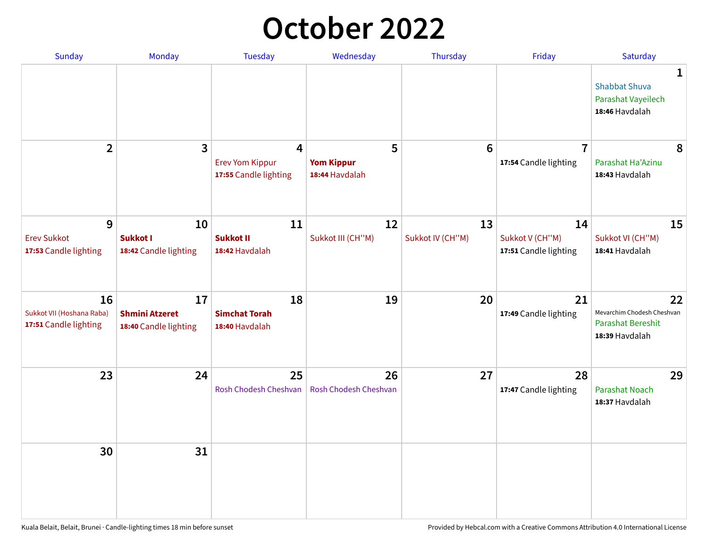## **October 2022**

| Sunday                                                   | Monday                                               | <b>Tuesday</b>                                                    | Wednesday                                | Thursday               | Friday                                         | Saturday                                                                |
|----------------------------------------------------------|------------------------------------------------------|-------------------------------------------------------------------|------------------------------------------|------------------------|------------------------------------------------|-------------------------------------------------------------------------|
|                                                          |                                                      |                                                                   |                                          |                        |                                                | 1<br><b>Shabbat Shuva</b><br>Parashat Vayeilech<br>18:46 Havdalah       |
| $\overline{2}$                                           | 3                                                    | $\overline{4}$<br><b>Erev Yom Kippur</b><br>17:55 Candle lighting | 5<br><b>Yom Kippur</b><br>18:44 Havdalah | 6                      | $\overline{7}$<br>17:54 Candle lighting        | 8<br>Parashat Ha'Azinu<br>18:43 Havdalah                                |
| 9<br><b>Erev Sukkot</b><br>17:53 Candle lighting         | 10<br><b>Sukkot I</b><br>18:42 Candle lighting       | 11<br><b>Sukkot II</b><br>18:42 Havdalah                          | 12<br>Sukkot III (CH"M)                  | 13<br>Sukkot IV (CH"M) | 14<br>Sukkot V (CH"M)<br>17:51 Candle lighting | 15<br>Sukkot VI (CH"M)<br>18:41 Havdalah                                |
| 16<br>Sukkot VII (Hoshana Raba)<br>17:51 Candle lighting | 17<br><b>Shmini Atzeret</b><br>18:40 Candle lighting | 18<br><b>Simchat Torah</b><br>18:40 Havdalah                      | 19                                       | 20                     | 21<br>17:49 Candle lighting                    | 22<br>Mevarchim Chodesh Cheshvan<br>Parashat Bereshit<br>18:39 Havdalah |
| 23                                                       | 24                                                   | 25<br>Rosh Chodesh Cheshvan                                       | 26<br>Rosh Chodesh Cheshvan              | 27                     | 28<br>17:47 Candle lighting                    | 29<br><b>Parashat Noach</b><br>18:37 Havdalah                           |
| 30                                                       | 31                                                   |                                                                   |                                          |                        |                                                |                                                                         |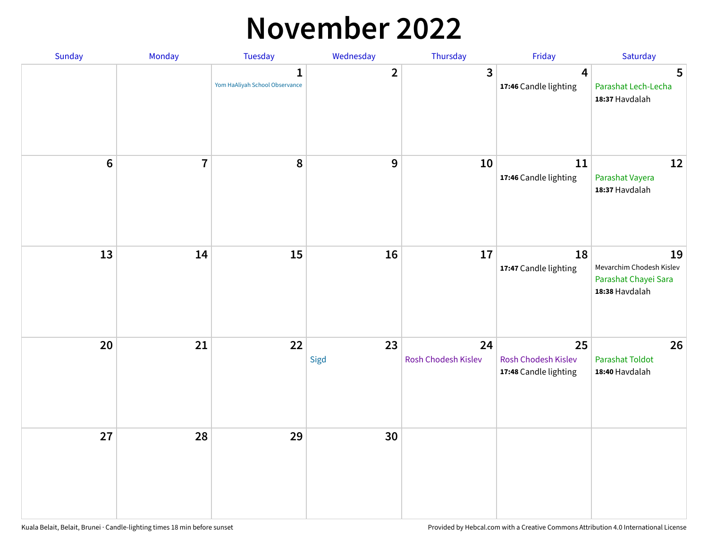## **November 2022**

| Sunday         | Monday                  | Tuesday                             | Wednesday               | Thursday                  | Friday                                             | Saturday                                                                 |
|----------------|-------------------------|-------------------------------------|-------------------------|---------------------------|----------------------------------------------------|--------------------------------------------------------------------------|
|                |                         | 1<br>Yom HaAliyah School Observance | $\overline{\mathbf{2}}$ | $\mathbf{3}$              | $\overline{\mathbf{4}}$<br>17:46 Candle lighting   | 5<br>Parashat Lech-Lecha<br>18:37 Havdalah                               |
| $6\phantom{1}$ | $\overline{\mathbf{I}}$ | 8                                   | $\boldsymbol{9}$        | 10                        | 11<br>17:46 Candle lighting                        | 12<br>Parashat Vayera<br>18:37 Havdalah                                  |
| 13             | 14                      | 15                                  | 16                      | 17                        | 18<br>17:47 Candle lighting                        | 19<br>Mevarchim Chodesh Kislev<br>Parashat Chayei Sara<br>18:38 Havdalah |
| 20             | 21                      | 22                                  | 23<br>Sigd              | 24<br>Rosh Chodesh Kislev | 25<br>Rosh Chodesh Kislev<br>17:48 Candle lighting | 26<br><b>Parashat Toldot</b><br>18:40 Havdalah                           |
| 27             | 28                      | 29                                  | 30                      |                           |                                                    |                                                                          |